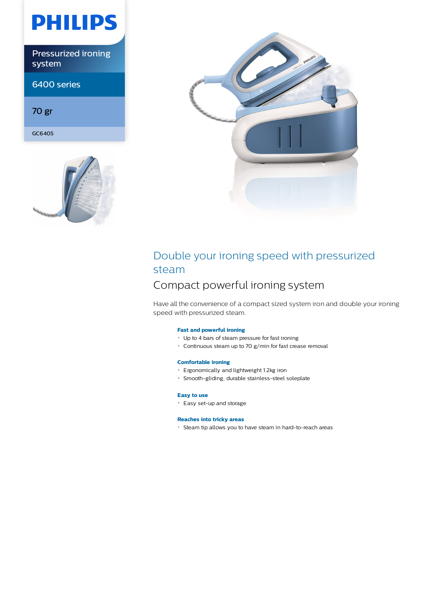# **PHILIPS**

Pressurized ironing system

6400 series

70 gr

GC6405





## Double your ironing speed with pressurized steam

### Compact powerful ironing system

Have all the convenience of a compact sized system iron and double your ironing speed with pressurized steam.

### **Fast and powerful ironing**

- Up to 4 bars of steam pressure for fast ironing
- Continuous steam up to 70 g/min for fast crease removal

### **Comfortable ironing**

- Ergonomically and lightweight 1.2kg iron
- Smooth-gliding, durable stainless-steel soleplate

### **Easy to use**

Easy set-up and storage

### **Reaches into tricky areas**

Steam tip allows you to have steam in hard-to-reach areas